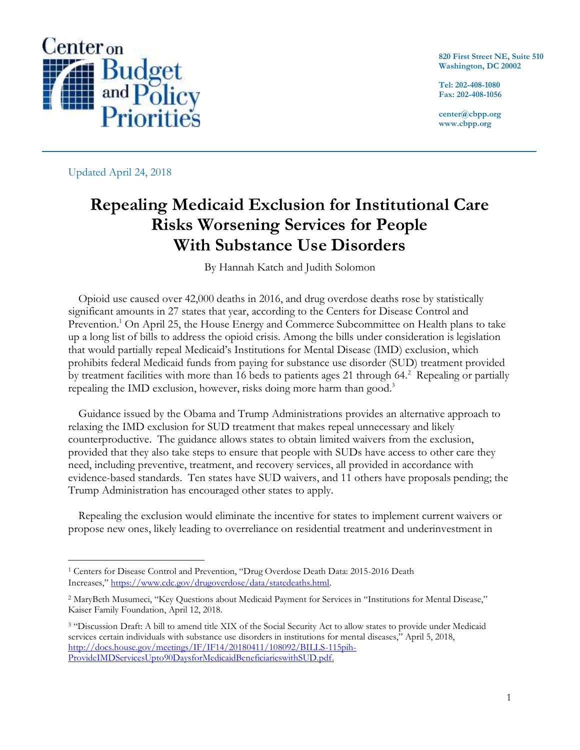

**820 First Street NE, Suite 510 Washington, DC 20002**

**Tel: 202-408-1080 Fax: 202-408-1056**

**center@cbpp.org www.cbpp.org**

Updated April 24, 2018

 $\overline{a}$ 

# **Repealing Medicaid Exclusion for Institutional Care Risks Worsening Services for People With Substance Use Disorders**

By Hannah Katch and Judith Solomon

Opioid use caused over 42,000 deaths in 2016, and drug overdose deaths rose by statistically significant amounts in 27 states that year, according to the Centers for Disease Control and Prevention.<sup>1</sup> On April 25, the House Energy and Commerce Subcommittee on Health plans to take up a long list of bills to address the opioid crisis. Among the bills under consideration is legislation that would partially repeal Medicaid's Institutions for Mental Disease (IMD) exclusion, which prohibits federal Medicaid funds from paying for substance use disorder (SUD) treatment provided by treatment facilities with more than 16 beds to patients ages 21 through 64. <sup>2</sup> Repealing or partially repealing the IMD exclusion, however, risks doing more harm than good.<sup>3</sup>

Guidance issued by the Obama and Trump Administrations provides an alternative approach to relaxing the IMD exclusion for SUD treatment that makes repeal unnecessary and likely counterproductive. The guidance allows states to obtain limited waivers from the exclusion, provided that they also take steps to ensure that people with SUDs have access to other care they need, including preventive, treatment, and recovery services, all provided in accordance with evidence-based standards. Ten states have SUD waivers, and 11 others have proposals pending; the Trump Administration has encouraged other states to apply.

Repealing the exclusion would eliminate the incentive for states to implement current waivers or propose new ones, likely leading to overreliance on residential treatment and underinvestment in

<sup>1</sup> Centers for Disease Control and Prevention, "Drug Overdose Death Data: 2015-2016 Death Increases," [https://www.cdc.gov/drugoverdose/data/statedeaths.html.](https://www.cdc.gov/drugoverdose/data/statedeaths.html)

<sup>2</sup> MaryBeth Musumeci, "Key Questions about Medicaid Payment for Services in "Institutions for Mental Disease," Kaiser Family Foundation, April 12, 2018.

<sup>&</sup>lt;sup>3</sup> "Discussion Draft: A bill to amend title XIX of the Social Security Act to allow states to provide under Medicaid services certain individuals with substance use disorders in institutions for mental diseases," April 5, 2018, [http://docs.house.gov/meetings/IF/IF14/20180411/108092/BILLS-115pih-](http://docs.house.gov/meetings/IF/IF14/20180411/108092/BILLS-115pih-ProvideIMDServicesUpto90DaysforMedicaidBeneficiarieswithSUD.pdf)[ProvideIMDServicesUpto90DaysforMedicaidBeneficiarieswithSUD.pdf.](http://docs.house.gov/meetings/IF/IF14/20180411/108092/BILLS-115pih-ProvideIMDServicesUpto90DaysforMedicaidBeneficiarieswithSUD.pdf)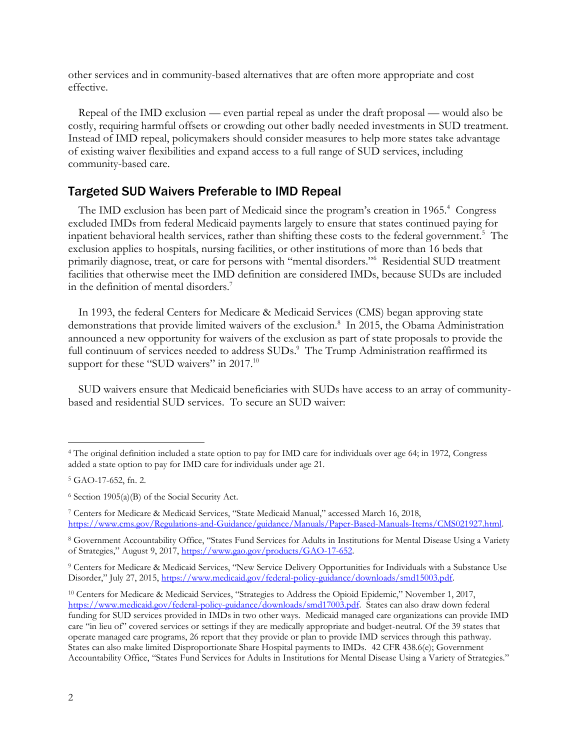other services and in community-based alternatives that are often more appropriate and cost effective.

Repeal of the IMD exclusion — even partial repeal as under the draft proposal — would also be costly, requiring harmful offsets or crowding out other badly needed investments in SUD treatment. Instead of IMD repeal, policymakers should consider measures to help more states take advantage of existing waiver flexibilities and expand access to a full range of SUD services, including community-based care.

#### Targeted SUD Waivers Preferable to IMD Repeal

The IMD exclusion has been part of Medicaid since the program's creation in 1965.<sup>4</sup> Congress excluded IMDs from federal Medicaid payments largely to ensure that states continued paying for inpatient behavioral health services, rather than shifting these costs to the federal government.<sup>5</sup> The exclusion applies to hospitals, nursing facilities, or other institutions of more than 16 beds that primarily diagnose, treat, or care for persons with "mental disorders."<sup>6</sup> Residential SUD treatment facilities that otherwise meet the IMD definition are considered IMDs, because SUDs are included in the definition of mental disorders.<sup>7</sup>

In 1993, the federal Centers for Medicare & Medicaid Services (CMS) began approving state demonstrations that provide limited waivers of the exclusion.<sup>8</sup> In 2015, the Obama Administration announced a new opportunity for waivers of the exclusion as part of state proposals to provide the full continuum of services needed to address SUDs.<sup>9</sup> The Trump Administration reaffirmed its support for these "SUD waivers" in 2017.<sup>10</sup>

SUD waivers ensure that Medicaid beneficiaries with SUDs have access to an array of communitybased and residential SUD services. To secure an SUD waiver:

<sup>4</sup> The original definition included a state option to pay for IMD care for individuals over age 64; in 1972, Congress added a state option to pay for IMD care for individuals under age 21.

<sup>5</sup> GAO-17-652, fn. 2.

 $6$  Section 1905(a)(B) of the Social Security Act.

<sup>7</sup> Centers for Medicare & Medicaid Services, "State Medicaid Manual," accessed March 16, 2018, [https://www.cms.gov/Regulations-and-Guidance/guidance/Manuals/Paper-Based-Manuals-Items/CMS021927.html.](https://www.cms.gov/Regulations-and-Guidance/guidance/Manuals/Paper-Based-Manuals-Items/CMS021927.html) 

<sup>8</sup> Government Accountability Office, "States Fund Services for Adults in Institutions for Mental Disease Using a Variety of Strategies," August 9, 2017[, https://www.gao.gov/products/GAO-17-652.](https://www.gao.gov/products/GAO-17-652)

<sup>9</sup> Centers for Medicare & Medicaid Services, "New Service Delivery Opportunities for Individuals with a Substance Use Disorder," July 27, 2015, [https://www.medicaid.gov/federal-policy-guidance/downloads/smd15003.pdf.](https://www.medicaid.gov/federal-policy-guidance/downloads/smd15003.pdf) 

<sup>10</sup> Centers for Medicare & Medicaid Services, "Strategies to Address the Opioid Epidemic," November 1, 2017, [https://www.medicaid.gov/federal-policy-guidance/downloads/smd17003.pdf.](https://www.medicaid.gov/federal-policy-guidance/downloads/smd17003.pdf) States can also draw down federal funding for SUD services provided in IMDs in two other ways. Medicaid managed care organizations can provide IMD care "in lieu of" covered services or settings if they are medically appropriate and budget-neutral. Of the 39 states that operate managed care programs, 26 report that they provide or plan to provide IMD services through this pathway. States can also make limited Disproportionate Share Hospital payments to IMDs. 42 CFR 438.6(e); Government Accountability Office, "States Fund Services for Adults in Institutions for Mental Disease Using a Variety of Strategies."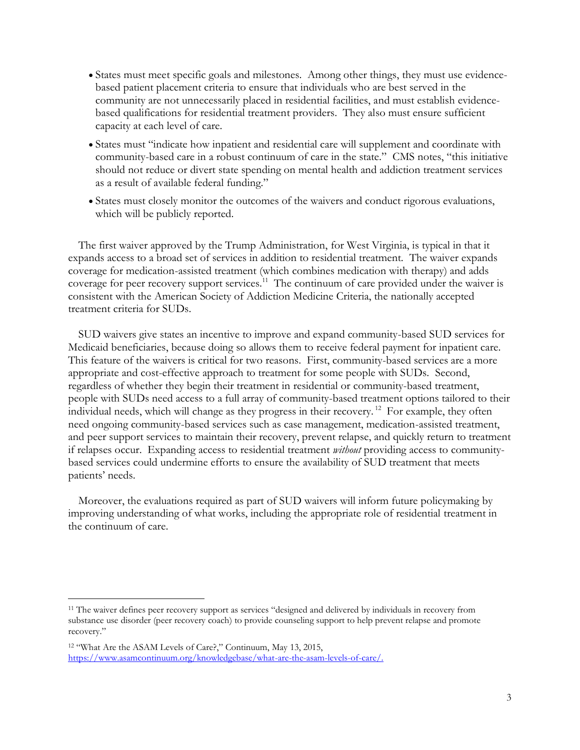- States must meet specific goals and milestones. Among other things, they must use evidencebased patient placement criteria to ensure that individuals who are best served in the community are not unnecessarily placed in residential facilities, and must establish evidencebased qualifications for residential treatment providers. They also must ensure sufficient capacity at each level of care.
- States must "indicate how inpatient and residential care will supplement and coordinate with community-based care in a robust continuum of care in the state." CMS notes, "this initiative should not reduce or divert state spending on mental health and addiction treatment services as a result of available federal funding."
- States must closely monitor the outcomes of the waivers and conduct rigorous evaluations, which will be publicly reported.

The first waiver approved by the Trump Administration, for West Virginia, is typical in that it expands access to a broad set of services in addition to residential treatment. The waiver expands coverage for medication-assisted treatment (which combines medication with therapy) and adds coverage for peer recovery support services.<sup>11</sup> The continuum of care provided under the waiver is consistent with the American Society of Addiction Medicine Criteria, the nationally accepted treatment criteria for SUDs.

SUD waivers give states an incentive to improve and expand community-based SUD services for Medicaid beneficiaries, because doing so allows them to receive federal payment for inpatient care. This feature of the waivers is critical for two reasons. First, community-based services are a more appropriate and cost-effective approach to treatment for some people with SUDs. Second, regardless of whether they begin their treatment in residential or community-based treatment, people with SUDs need access to a full array of community-based treatment options tailored to their individual needs, which will change as they progress in their recovery.<sup>12</sup> For example, they often need ongoing community-based services such as case management, medication-assisted treatment, and peer support services to maintain their recovery, prevent relapse, and quickly return to treatment if relapses occur. Expanding access to residential treatment *without* providing access to communitybased services could undermine efforts to ensure the availability of SUD treatment that meets patients' needs.

Moreover, the evaluations required as part of SUD waivers will inform future policymaking by improving understanding of what works, including the appropriate role of residential treatment in the continuum of care.

<sup>11</sup> The waiver defines peer recovery support as services "designed and delivered by individuals in recovery from substance use disorder (peer recovery coach) to provide counseling support to help prevent relapse and promote recovery."

<sup>12</sup> "What Are the ASAM Levels of Care?," Continuum, May 13, 2015, [https://www.asamcontinuum.org/knowledgebase/what-are-the-asam-levels-of-care/.](https://www.asamcontinuum.org/knowledgebase/what-are-the-asam-levels-of-care/)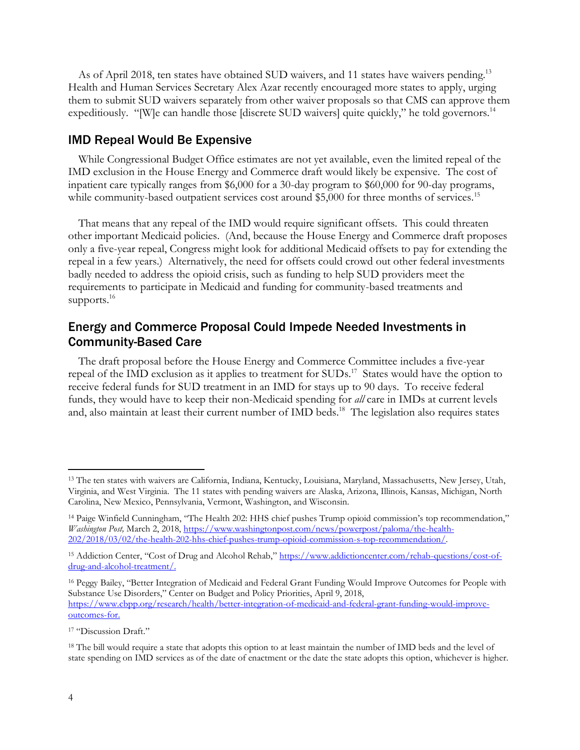As of April 2018, ten states have obtained SUD waivers, and 11 states have waivers pending.<sup>13</sup> Health and Human Services Secretary Alex Azar recently encouraged more states to apply, urging them to submit SUD waivers separately from other waiver proposals so that CMS can approve them expeditiously. "[W]e can handle those [discrete SUD waivers] quite quickly," he told governors.<sup>14</sup>

#### IMD Repeal Would Be Expensive

While Congressional Budget Office estimates are not yet available, even the limited repeal of the IMD exclusion in the House Energy and Commerce draft would likely be expensive. The cost of inpatient care typically ranges from \$6,000 for a 30-day program to \$60,000 for 90-day programs, while community-based outpatient services cost around \$5,000 for three months of services.<sup>15</sup>

That means that any repeal of the IMD would require significant offsets. This could threaten other important Medicaid policies. (And, because the House Energy and Commerce draft proposes only a five-year repeal, Congress might look for additional Medicaid offsets to pay for extending the repeal in a few years.) Alternatively, the need for offsets could crowd out other federal investments badly needed to address the opioid crisis, such as funding to help SUD providers meet the requirements to participate in Medicaid and funding for community-based treatments and supports.<sup>16</sup>

## Energy and Commerce Proposal Could Impede Needed Investments in Community-Based Care

The draft proposal before the House Energy and Commerce Committee includes a five-year repeal of the IMD exclusion as it applies to treatment for SUDs.<sup>17</sup> States would have the option to receive federal funds for SUD treatment in an IMD for stays up to 90 days. To receive federal funds, they would have to keep their non-Medicaid spending for *all* care in IMDs at current levels and, also maintain at least their current number of IMD beds.<sup>18</sup> The legislation also requires states

<sup>13</sup> The ten states with waivers are California, Indiana, Kentucky, Louisiana, Maryland, Massachusetts, New Jersey, Utah, Virginia, and West Virginia. The 11 states with pending waivers are Alaska, Arizona, Illinois, Kansas, Michigan, North Carolina, New Mexico, Pennsylvania, Vermont, Washington, and Wisconsin.

<sup>14</sup> Paige Winfield Cunningham, "The Health 202: HHS chief pushes Trump opioid commission's top recommendation," *Washington Post,* March 2, 2018, [https://www.washingtonpost.com/news/powerpost/paloma/the-health-](https://www.washingtonpost.com/news/powerpost/paloma/the-health-202/2018/03/02/the-health-202-hhs-chief-pushes-trump-opioid-commission-s-top-recommendation/5a9821f030fb047655a06a2e/?utm_term=.dcf27bc4b59c)[202/2018/03/02/the-health-202-hhs-chief-pushes-trump-opioid-commission-s-top-recommendation/.](https://www.washingtonpost.com/news/powerpost/paloma/the-health-202/2018/03/02/the-health-202-hhs-chief-pushes-trump-opioid-commission-s-top-recommendation/5a9821f030fb047655a06a2e/?utm_term=.dcf27bc4b59c) 

<sup>&</sup>lt;sup>15</sup> Addiction Center, "Cost of Drug and Alcohol Rehab," [https://www.addictioncenter.com/rehab-questions/cost-of](https://www.addictioncenter.com/rehab-questions/cost-of-drug-and-alcohol-treatment/)[drug-and-alcohol-treatment/.](https://www.addictioncenter.com/rehab-questions/cost-of-drug-and-alcohol-treatment/)

<sup>16</sup> Peggy Bailey, "Better Integration of Medicaid and Federal Grant Funding Would Improve Outcomes for People with Substance Use Disorders," Center on Budget and Policy Priorities, April 9, 2018, [https://www.cbpp.org/research/health/better-integration-of-medicaid-and-federal-grant-funding-would-improve](https://www.cbpp.org/research/health/better-integration-of-medicaid-and-federal-grant-funding-would-improve-outcomes-for)[outcomes-for.](https://www.cbpp.org/research/health/better-integration-of-medicaid-and-federal-grant-funding-would-improve-outcomes-for)

<sup>17</sup> "Discussion Draft."

<sup>&</sup>lt;sup>18</sup> The bill would require a state that adopts this option to at least maintain the number of IMD beds and the level of state spending on IMD services as of the date of enactment or the date the state adopts this option, whichever is higher.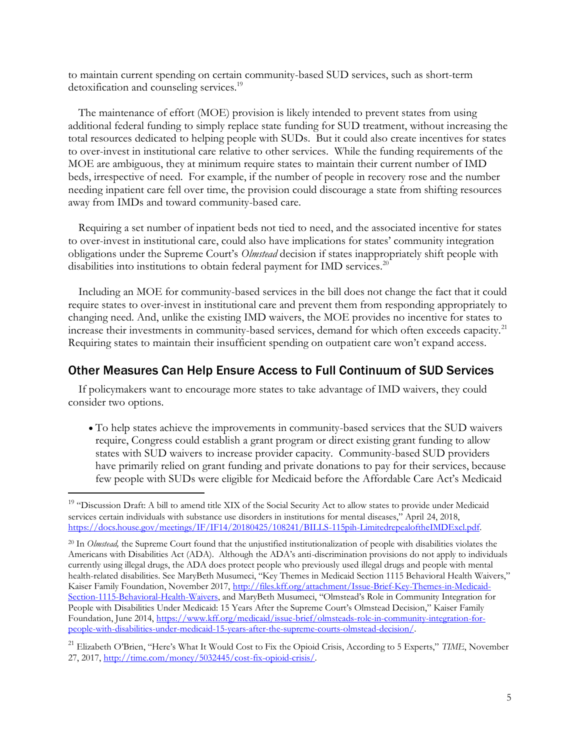to maintain current spending on certain community-based SUD services, such as short-term detoxification and counseling services.<sup>19</sup>

The maintenance of effort (MOE) provision is likely intended to prevent states from using additional federal funding to simply replace state funding for SUD treatment, without increasing the total resources dedicated to helping people with SUDs. But it could also create incentives for states to over-invest in institutional care relative to other services. While the funding requirements of the MOE are ambiguous, they at minimum require states to maintain their current number of IMD beds, irrespective of need. For example, if the number of people in recovery rose and the number needing inpatient care fell over time, the provision could discourage a state from shifting resources away from IMDs and toward community-based care.

Requiring a set number of inpatient beds not tied to need, and the associated incentive for states to over-invest in institutional care, could also have implications for states' community integration obligations under the Supreme Court's *Olmstead* decision if states inappropriately shift people with disabilities into institutions to obtain federal payment for IMD services.<sup>20</sup>

Including an MOE for community-based services in the bill does not change the fact that it could require states to over-invest in institutional care and prevent them from responding appropriately to changing need. And, unlike the existing IMD waivers, the MOE provides no incentive for states to increase their investments in community-based services, demand for which often exceeds capacity.<sup>21</sup> Requiring states to maintain their insufficient spending on outpatient care won't expand access.

### Other Measures Can Help Ensure Access to Full Continuum of SUD Services

If policymakers want to encourage more states to take advantage of IMD waivers, they could consider two options.

• To help states achieve the improvements in community-based services that the SUD waivers require, Congress could establish a grant program or direct existing grant funding to allow states with SUD waivers to increase provider capacity. Community-based SUD providers have primarily relied on grant funding and private donations to pay for their services, because few people with SUDs were eligible for Medicaid before the Affordable Care Act's Medicaid

<sup>&</sup>lt;sup>19</sup> "Discussion Draft: A bill to amend title XIX of the Social Security Act to allow states to provide under Medicaid services certain individuals with substance use disorders in institutions for mental diseases," April 24, 2018, [https://docs.house.gov/meetings/IF/IF14/20180425/108241/BILLS-115pih-LimitedrepealoftheIMDExcl.pdf.](https://docs.house.gov/meetings/IF/IF14/20180425/108241/BILLS-115pih-LimitedrepealoftheIMDExcl.pdf) 

<sup>20</sup> In *Olmstead,* the Supreme Court found that the unjustified institutionalization of people with disabilities violates the Americans with Disabilities Act (ADA). Although the ADA's anti-discrimination provisions do not apply to individuals currently using illegal drugs, the ADA does protect people who previously used illegal drugs and people with mental health-related disabilities. See MaryBeth Musumeci, "Key Themes in Medicaid Section 1115 Behavioral Health Waivers," Kaiser Family Foundation, November 2017, [http://files.kff.org/attachment/Issue-Brief-Key-Themes-in-Medicaid-](http://files.kff.org/attachment/Issue-Brief-Key-Themes-in-Medicaid-Section-1115-Behavioral-Health-Waivers)[Section-1115-Behavioral-Health-Waivers](http://files.kff.org/attachment/Issue-Brief-Key-Themes-in-Medicaid-Section-1115-Behavioral-Health-Waivers), and MaryBeth Musumeci, "Olmstead's Role in Community Integration for People with Disabilities Under Medicaid: 15 Years After the Supreme Court's Olmstead Decision," Kaiser Family Foundation, June 2014, [https://www.kff.org/medicaid/issue-brief/olmsteads-role-in-community-integration-for](https://www.kff.org/medicaid/issue-brief/olmsteads-role-in-community-integration-for-people-with-disabilities-under-medicaid-15-years-after-the-supreme-courts-olmstead-decision/)[people-with-disabilities-under-medicaid-15-years-after-the-supreme-courts-olmstead-decision/.](https://www.kff.org/medicaid/issue-brief/olmsteads-role-in-community-integration-for-people-with-disabilities-under-medicaid-15-years-after-the-supreme-courts-olmstead-decision/)

<sup>21</sup> Elizabeth O'Brien, "Here's What It Would Cost to Fix the Opioid Crisis, According to 5 Experts," *TIME*, November 27, 2017, [http://time.com/money/5032445/cost-fix-opioid-crisis/.](http://time.com/money/5032445/cost-fix-opioid-crisis/)